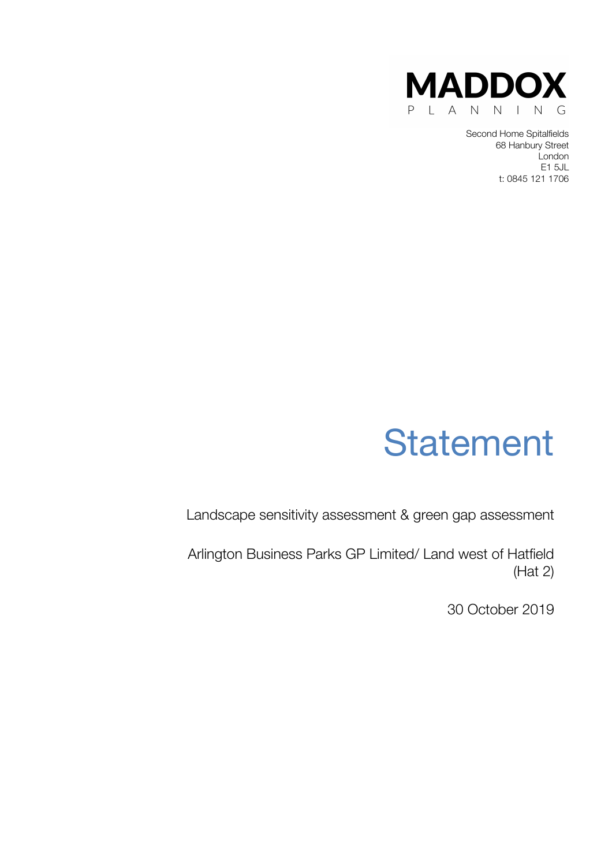

Second Home Spitalfields 68 Hanbury Street London E1 5JL t: 0845 121 1706



Landscape sensitivity assessment & green gap assessment

Arlington Business Parks GP Limited/ Land west of Hatfield (Hat 2)

30 October 2019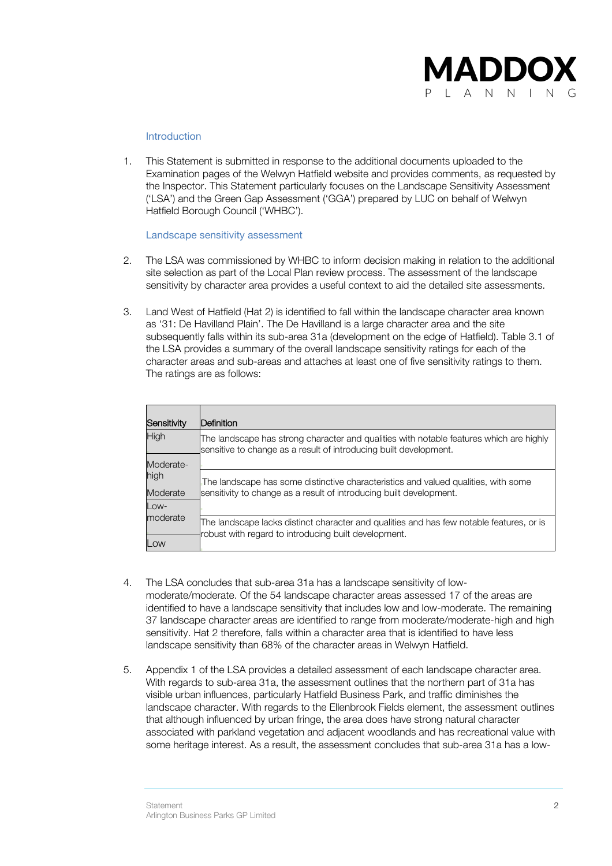

## Introduction

1. This Statement is submitted in response to the additional documents uploaded to the Examination pages of the Welwyn Hatfield website and provides comments, as requested by the Inspector. This Statement particularly focuses on the Landscape Sensitivity Assessment ('LSA') and the Green Gap Assessment ('GGA') prepared by LUC on behalf of Welwyn Hatfield Borough Council ('WHBC').

## Landscape sensitivity assessment

- 2. The LSA was commissioned by WHBC to inform decision making in relation to the additional site selection as part of the Local Plan review process. The assessment of the landscape sensitivity by character area provides a useful context to aid the detailed site assessments.
- 3. Land West of Hatfield (Hat 2) is identified to fall within the landscape character area known as '31: De Havilland Plain'. The De Havilland is a large character area and the site subsequently falls within its sub-area 31a (development on the edge of Hatfield). Table 3.1 of the LSA provides a summary of the overall landscape sensitivity ratings for each of the character areas and sub-areas and attaches at least one of five sensitivity ratings to them. The ratings are as follows:

| Sensitivity | Definition                                                                                                                                                   |
|-------------|--------------------------------------------------------------------------------------------------------------------------------------------------------------|
| High        | The landscape has strong character and qualities with notable features which are highly<br>sensitive to change as a result of introducing built development. |
| Moderate-   |                                                                                                                                                              |
| high        | The landscape has some distinctive characteristics and valued qualities, with some                                                                           |
| Moderate    | sensitivity to change as a result of introducing built development.                                                                                          |
| $Low-$      |                                                                                                                                                              |
| moderate    | The landscape lacks distinct character and qualities and has few notable features, or is<br>robust with regard to introducing built development.             |
| Low         |                                                                                                                                                              |

- 4. The LSA concludes that sub-area 31a has a landscape sensitivity of lowmoderate/moderate. Of the 54 landscape character areas assessed 17 of the areas are identified to have a landscape sensitivity that includes low and low-moderate. The remaining 37 landscape character areas are identified to range from moderate/moderate-high and high sensitivity. Hat 2 therefore, falls within a character area that is identified to have less landscape sensitivity than 68% of the character areas in Welwyn Hatfield.
- 5. Appendix 1 of the LSA provides a detailed assessment of each landscape character area. With regards to sub-area 31a, the assessment outlines that the northern part of 31a has visible urban influences, particularly Hatfield Business Park, and traffic diminishes the landscape character. With regards to the Ellenbrook Fields element, the assessment outlines that although influenced by urban fringe, the area does have strong natural character associated with parkland vegetation and adjacent woodlands and has recreational value with some heritage interest. As a result, the assessment concludes that sub-area 31a has a low-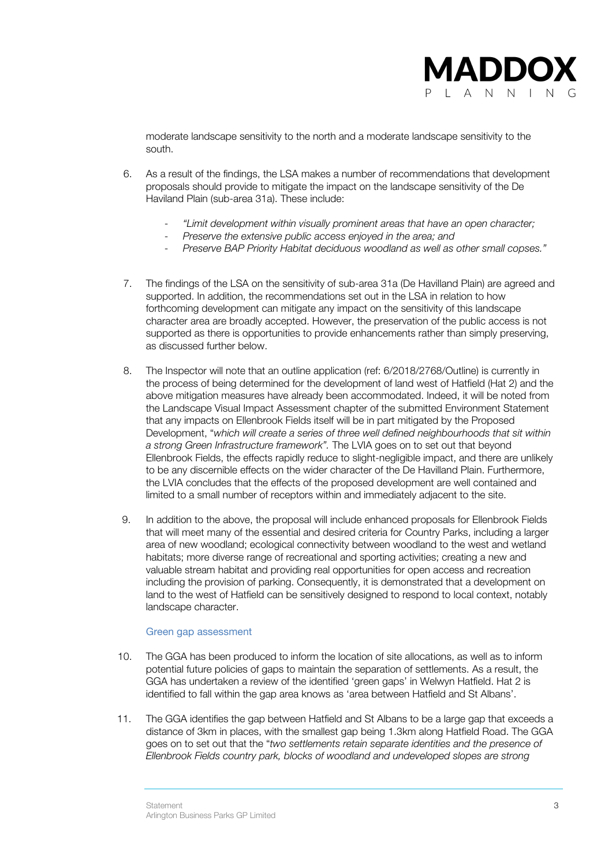

moderate landscape sensitivity to the north and a moderate landscape sensitivity to the south.

- 6. As a result of the findings, the LSA makes a number of recommendations that development proposals should provide to mitigate the impact on the landscape sensitivity of the De Haviland Plain (sub-area 31a). These include:
	- *"Limit development within visually prominent areas that have an open character;*
	- *Preserve the extensive public access enjoyed in the area; and*
	- *Preserve BAP Priority Habitat deciduous woodland as well as other small copses."*
- 7. The findings of the LSA on the sensitivity of sub-area 31a (De Havilland Plain) are agreed and supported. In addition, the recommendations set out in the LSA in relation to how forthcoming development can mitigate any impact on the sensitivity of this landscape character area are broadly accepted. However, the preservation of the public access is not supported as there is opportunities to provide enhancements rather than simply preserving, as discussed further below.
- 8. The Inspector will note that an outline application (ref: 6/2018/2768/Outline) is currently in the process of being determined for the development of land west of Hatfield (Hat 2) and the above mitigation measures have already been accommodated. Indeed, it will be noted from the Landscape Visual Impact Assessment chapter of the submitted Environment Statement that any impacts on Ellenbrook Fields itself will be in part mitigated by the Proposed Development, "*which will create a series of three well defined neighbourhoods that sit within a strong Green Infrastructure framework".* The LVIA goes on to set out that beyond Ellenbrook Fields, the effects rapidly reduce to slight-negligible impact, and there are unlikely to be any discernible effects on the wider character of the De Havilland Plain. Furthermore, the LVIA concludes that the effects of the proposed development are well contained and limited to a small number of receptors within and immediately adjacent to the site.
- 9. In addition to the above, the proposal will include enhanced proposals for Ellenbrook Fields that will meet many of the essential and desired criteria for Country Parks, including a larger area of new woodland; ecological connectivity between woodland to the west and wetland habitats; more diverse range of recreational and sporting activities; creating a new and valuable stream habitat and providing real opportunities for open access and recreation including the provision of parking. Consequently, it is demonstrated that a development on land to the west of Hatfield can be sensitively designed to respond to local context, notably landscape character.

## Green gap assessment

- 10. The GGA has been produced to inform the location of site allocations, as well as to inform potential future policies of gaps to maintain the separation of settlements. As a result, the GGA has undertaken a review of the identified 'green gaps' in Welwyn Hatfield. Hat 2 is identified to fall within the gap area knows as 'area between Hatfield and St Albans'.
- 11. The GGA identifies the gap between Hatfield and St Albans to be a large gap that exceeds a distance of 3km in places, with the smallest gap being 1.3km along Hatfield Road. The GGA goes on to set out that the "*two settlements retain separate identities and the presence of Ellenbrook Fields country park, blocks of woodland and undeveloped slopes are strong*